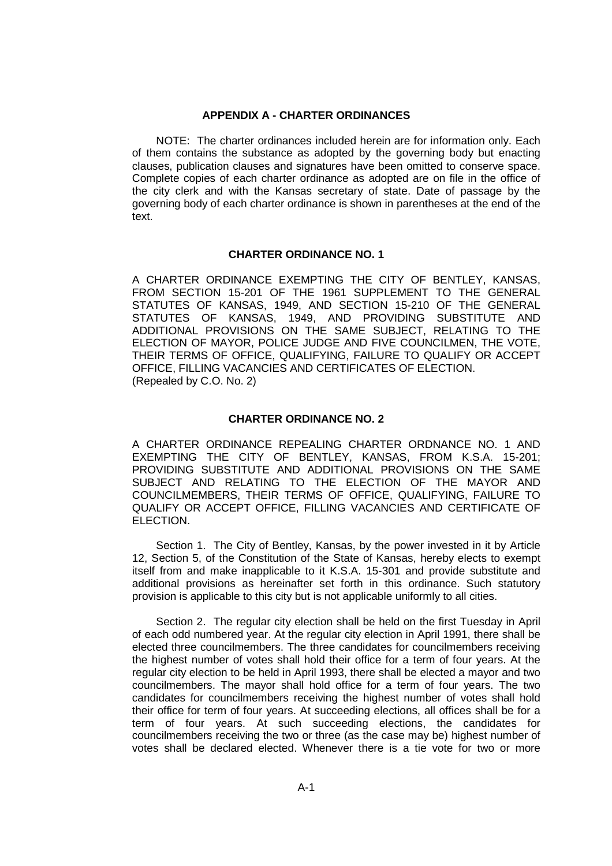## **APPENDIX A - CHARTER ORDINANCES**

NOTE: The charter ordinances included herein are for information only. Each of them contains the substance as adopted by the governing body but enacting clauses, publication clauses and signatures have been omitted to conserve space. Complete copies of each charter ordinance as adopted are on file in the office of the city clerk and with the Kansas secretary of state. Date of passage by the governing body of each charter ordinance is shown in parentheses at the end of the text.

### **CHARTER ORDINANCE NO. 1**

A CHARTER ORDINANCE EXEMPTING THE CITY OF BENTLEY, KANSAS, FROM SECTION 15-201 OF THE 1961 SUPPLEMENT TO THE GENERAL STATUTES OF KANSAS, 1949, AND SECTION 15-210 OF THE GENERAL STATUTES OF KANSAS, 1949, AND PROVIDING SUBSTITUTE AND ADDITIONAL PROVISIONS ON THE SAME SUBJECT, RELATING TO THE ELECTION OF MAYOR, POLICE JUDGE AND FIVE COUNCILMEN, THE VOTE, THEIR TERMS OF OFFICE, QUALIFYING, FAILURE TO QUALIFY OR ACCEPT OFFICE, FILLING VACANCIES AND CERTIFICATES OF ELECTION. (Repealed by C.O. No. 2)

## **CHARTER ORDINANCE NO. 2**

A CHARTER ORDINANCE REPEALING CHARTER ORDNANCE NO. 1 AND EXEMPTING THE CITY OF BENTLEY, KANSAS, FROM K.S.A. 15-201; PROVIDING SUBSTITUTE AND ADDITIONAL PROVISIONS ON THE SAME SUBJECT AND RELATING TO THE ELECTION OF THE MAYOR AND COUNCILMEMBERS, THEIR TERMS OF OFFICE, QUALIFYING, FAILURE TO QUALIFY OR ACCEPT OFFICE, FILLING VACANCIES AND CERTIFICATE OF ELECTION.

Section 1. The City of Bentley, Kansas, by the power invested in it by Article 12, Section 5, of the Constitution of the State of Kansas, hereby elects to exempt itself from and make inapplicable to it K.S.A. 15-301 and provide substitute and additional provisions as hereinafter set forth in this ordinance. Such statutory provision is applicable to this city but is not applicable uniformly to all cities.

Section 2. The regular city election shall be held on the first Tuesday in April of each odd numbered year. At the regular city election in April 1991, there shall be elected three councilmembers. The three candidates for councilmembers receiving the highest number of votes shall hold their office for a term of four years. At the regular city election to be held in April 1993, there shall be elected a mayor and two councilmembers. The mayor shall hold office for a term of four years. The two candidates for councilmembers receiving the highest number of votes shall hold their office for term of four years. At succeeding elections, all offices shall be for a term of four years. At such succeeding elections, the candidates for councilmembers receiving the two or three (as the case may be) highest number of votes shall be declared elected. Whenever there is a tie vote for two or more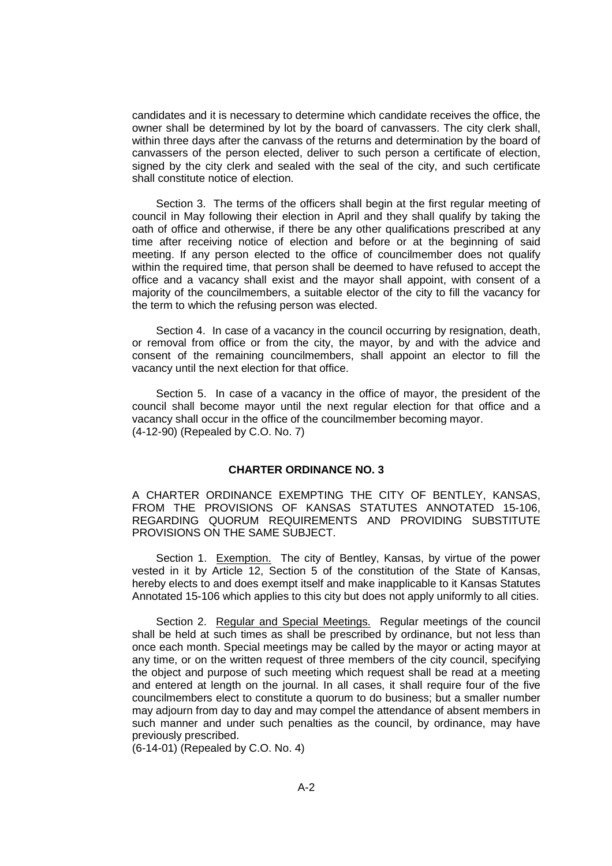candidates and it is necessary to determine which candidate receives the office, the owner shall be determined by lot by the board of canvassers. The city clerk shall, within three days after the canvass of the returns and determination by the board of canvassers of the person elected, deliver to such person a certificate of election, signed by the city clerk and sealed with the seal of the city, and such certificate shall constitute notice of election.

Section 3. The terms of the officers shall begin at the first regular meeting of council in May following their election in April and they shall qualify by taking the oath of office and otherwise, if there be any other qualifications prescribed at any time after receiving notice of election and before or at the beginning of said meeting. If any person elected to the office of councilmember does not qualify within the required time, that person shall be deemed to have refused to accept the office and a vacancy shall exist and the mayor shall appoint, with consent of a majority of the councilmembers, a suitable elector of the city to fill the vacancy for the term to which the refusing person was elected.

Section 4. In case of a vacancy in the council occurring by resignation, death, or removal from office or from the city, the mayor, by and with the advice and consent of the remaining councilmembers, shall appoint an elector to fill the vacancy until the next election for that office.

Section 5. In case of a vacancy in the office of mayor, the president of the council shall become mayor until the next regular election for that office and a vacancy shall occur in the office of the councilmember becoming mayor. (4-12-90) (Repealed by C.O. No. 7)

# **CHARTER ORDINANCE NO. 3**

A CHARTER ORDINANCE EXEMPTING THE CITY OF BENTLEY, KANSAS, FROM THE PROVISIONS OF KANSAS STATUTES ANNOTATED 15-106, REGARDING QUORUM REQUIREMENTS AND PROVIDING SUBSTITUTE PROVISIONS ON THE SAME SUBJECT.

Section 1. Exemption. The city of Bentley, Kansas, by virtue of the power vested in it by Article 12, Section 5 of the constitution of the State of Kansas, hereby elects to and does exempt itself and make inapplicable to it Kansas Statutes Annotated 15-106 which applies to this city but does not apply uniformly to all cities.

Section 2. Regular and Special Meetings. Regular meetings of the council shall be held at such times as shall be prescribed by ordinance, but not less than once each month. Special meetings may be called by the mayor or acting mayor at any time, or on the written request of three members of the city council, specifying the object and purpose of such meeting which request shall be read at a meeting and entered at length on the journal. In all cases, it shall require four of the five councilmembers elect to constitute a quorum to do business; but a smaller number may adjourn from day to day and may compel the attendance of absent members in such manner and under such penalties as the council, by ordinance, may have previously prescribed.

(6-14-01) (Repealed by C.O. No. 4)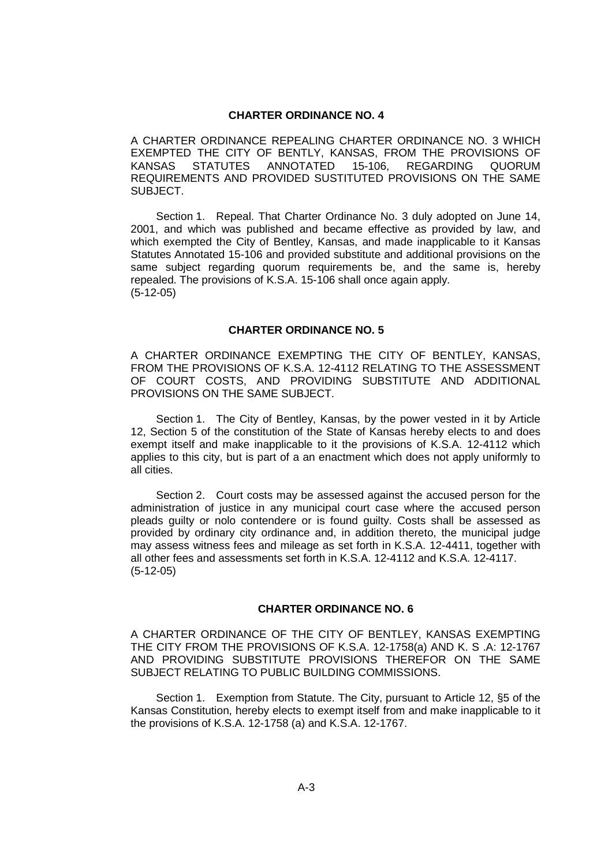### **CHARTER ORDINANCE NO. 4**

A CHARTER ORDINANCE REPEALING CHARTER ORDINANCE NO. 3 WHICH EXEMPTED THE CITY OF BENTLY, KANSAS, FROM THE PROVISIONS OF KANSAS STATUTES ANNOTATED 15-106, REGARDING QUORUM REQUIREMENTS AND PROVIDED SUSTITUTED PROVISIONS ON THE SAME SUBJECT.

Section 1. Repeal. That Charter Ordinance No. 3 duly adopted on June 14, 2001, and which was published and became effective as provided by law, and which exempted the City of Bentley, Kansas, and made inapplicable to it Kansas Statutes Annotated 15-106 and provided substitute and additional provisions on the same subject regarding quorum requirements be, and the same is, hereby repealed. The provisions of K.S.A. 15-106 shall once again apply. (5-12-05)

## **CHARTER ORDINANCE NO. 5**

A CHARTER ORDINANCE EXEMPTING THE CITY OF BENTLEY, KANSAS, FROM THE PROVISIONS OF K.S.A. 12-4112 RELATING TO THE ASSESSMENT OF COURT COSTS, AND PROVIDING SUBSTITUTE AND ADDITIONAL PROVISIONS ON THE SAME SUBJECT.

Section 1. The City of Bentley, Kansas, by the power vested in it by Article 12, Section 5 of the constitution of the State of Kansas hereby elects to and does exempt itself and make inapplicable to it the provisions of K.S.A. 12-4112 which applies to this city, but is part of a an enactment which does not apply uniformly to all cities.

Section 2. Court costs may be assessed against the accused person for the administration of justice in any municipal court case where the accused person pleads guilty or nolo contendere or is found guilty. Costs shall be assessed as provided by ordinary city ordinance and, in addition thereto, the municipal judge may assess witness fees and mileage as set forth in K.S.A. 12-4411, together with all other fees and assessments set forth in K.S.A. 12-4112 and K.S.A. 12-4117. (5-12-05)

### **CHARTER ORDINANCE NO. 6**

A CHARTER ORDINANCE OF THE CITY OF BENTLEY, KANSAS EXEMPTING THE CITY FROM THE PROVISIONS OF K.S.A. 12-1758(a) AND K. S .A: 12-1767 AND PROVIDING SUBSTITUTE PROVISIONS THEREFOR ON THE SAME SUBJECT RELATING TO PUBLIC BUILDING COMMISSIONS.

Section 1. Exemption from Statute. The City, pursuant to Article 12, §5 of the Kansas Constitution, hereby elects to exempt itself from and make inapplicable to it the provisions of K.S.A. 12-1758 (a) and K.S.A. 12-1767.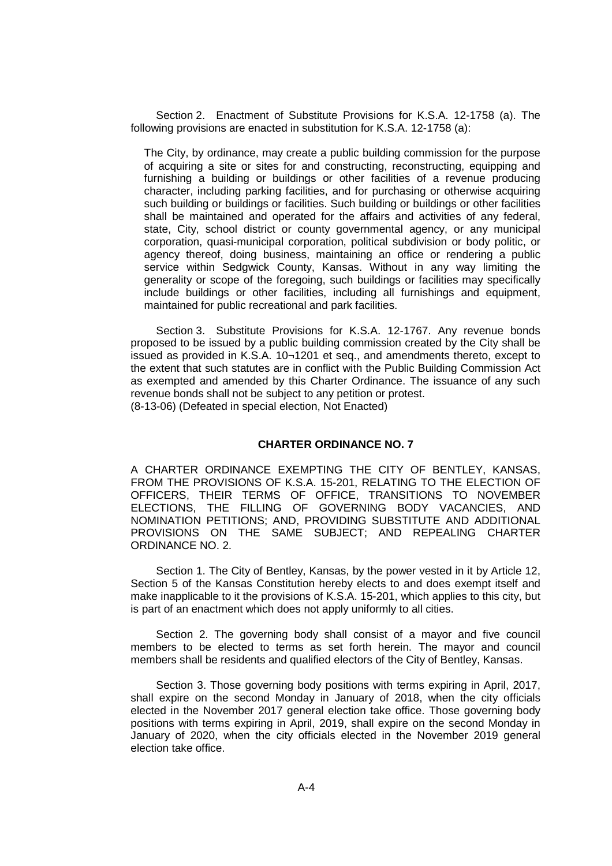Section 2. Enactment of Substitute Provisions for K.S.A. 12-1758 (a). The following provisions are enacted in substitution for K.S.A. 12-1758 (a):

The City, by ordinance, may create a public building commission for the purpose of acquiring a site or sites for and constructing, reconstructing, equipping and furnishing a building or buildings or other facilities of a revenue producing character, including parking facilities, and for purchasing or otherwise acquiring such building or buildings or facilities. Such building or buildings or other facilities shall be maintained and operated for the affairs and activities of any federal, state, City, school district or county governmental agency, or any municipal corporation, quasi-municipal corporation, political subdivision or body politic, or agency thereof, doing business, maintaining an office or rendering a public service within Sedgwick County, Kansas. Without in any way limiting the generality or scope of the foregoing, such buildings or facilities may specifically include buildings or other facilities, including all furnishings and equipment, maintained for public recreational and park facilities.

Section 3. Substitute Provisions for K.S.A. 12-1767. Any revenue bonds proposed to be issued by a public building commission created by the City shall be issued as provided in K.S.A. 10¬1201 et seq., and amendments thereto, except to the extent that such statutes are in conflict with the Public Building Commission Act as exempted and amended by this Charter Ordinance. The issuance of any such revenue bonds shall not be subject to any petition or protest. (8-13-06) (Defeated in special election, Not Enacted)

**CHARTER ORDINANCE NO. 7**

A CHARTER ORDINANCE EXEMPTING THE CITY OF BENTLEY, KANSAS, FROM THE PROVISIONS OF K.S.A. 15-201, RELATING TO THE ELECTION OF OFFICERS, THEIR TERMS OF OFFICE, TRANSITIONS TO NOVEMBER ELECTIONS, THE FILLING OF GOVERNING BODY VACANCIES, AND NOMINATION PETITIONS; AND, PROVIDING SUBSTITUTE AND ADDITIONAL PROVISIONS ON THE SAME SUBJECT; AND REPEALING CHARTER ORDINANCE NO. 2.

Section 1. The City of Bentley, Kansas, by the power vested in it by Article 12, Section 5 of the Kansas Constitution hereby elects to and does exempt itself and make inapplicable to it the provisions of K.S.A. 15-201, which applies to this city, but is part of an enactment which does not apply uniformly to all cities.

Section 2. The governing body shall consist of a mayor and five council members to be elected to terms as set forth herein. The mayor and council members shall be residents and qualified electors of the City of Bentley, Kansas.

Section 3. Those governing body positions with terms expiring in April, 2017, shall expire on the second Monday in January of 2018, when the city officials elected in the November 2017 general election take office. Those governing body positions with terms expiring in April, 2019, shall expire on the second Monday in January of 2020, when the city officials elected in the November 2019 general election take office.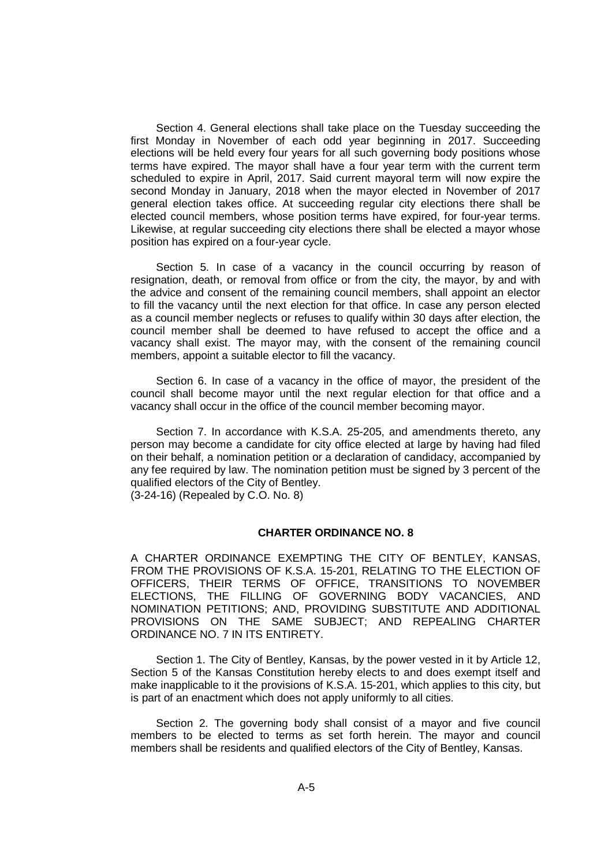Section 4. General elections shall take place on the Tuesday succeeding the first Monday in November of each odd year beginning in 2017. Succeeding elections will be held every four years for all such governing body positions whose terms have expired. The mayor shall have a four year term with the current term scheduled to expire in April, 2017. Said current mayoral term will now expire the second Monday in January, 2018 when the mayor elected in November of 2017 general election takes office. At succeeding regular city elections there shall be elected council members, whose position terms have expired, for four-year terms. Likewise, at regular succeeding city elections there shall be elected a mayor whose position has expired on a four-year cycle.

Section 5. In case of a vacancy in the council occurring by reason of resignation, death, or removal from office or from the city, the mayor, by and with the advice and consent of the remaining council members, shall appoint an elector to fill the vacancy until the next election for that office. In case any person elected as a council member neglects or refuses to qualify within 30 days after election, the council member shall be deemed to have refused to accept the office and a vacancy shall exist. The mayor may, with the consent of the remaining council members, appoint a suitable elector to fill the vacancy.

Section 6. In case of a vacancy in the office of mayor, the president of the council shall become mayor until the next regular election for that office and a vacancy shall occur in the office of the council member becoming mayor.

Section 7. In accordance with K.S.A. 25-205, and amendments thereto, any person may become a candidate for city office elected at large by having had filed on their behalf, a nomination petition or a declaration of candidacy, accompanied by any fee required by law. The nomination petition must be signed by 3 percent of the qualified electors of the City of Bentley.

(3-24-16) (Repealed by C.O. No. 8)

# **CHARTER ORDINANCE NO. 8**

A CHARTER ORDINANCE EXEMPTING THE CITY OF BENTLEY, KANSAS, FROM THE PROVISIONS OF K.S.A. 15-201, RELATING TO THE ELECTION OF OFFICERS, THEIR TERMS OF OFFICE, TRANSITIONS TO NOVEMBER ELECTIONS, THE FILLING OF GOVERNING BODY VACANCIES, AND NOMINATION PETITIONS; AND, PROVIDING SUBSTITUTE AND ADDITIONAL PROVISIONS ON THE SAME SUBJECT; AND REPEALING CHARTER ORDINANCE NO. 7 IN ITS ENTIRETY.

Section 1. The City of Bentley, Kansas, by the power vested in it by Article 12, Section 5 of the Kansas Constitution hereby elects to and does exempt itself and make inapplicable to it the provisions of K.S.A. 15-201, which applies to this city, but is part of an enactment which does not apply uniformly to all cities.

Section 2. The governing body shall consist of a mayor and five council members to be elected to terms as set forth herein. The mayor and council members shall be residents and qualified electors of the City of Bentley, Kansas.